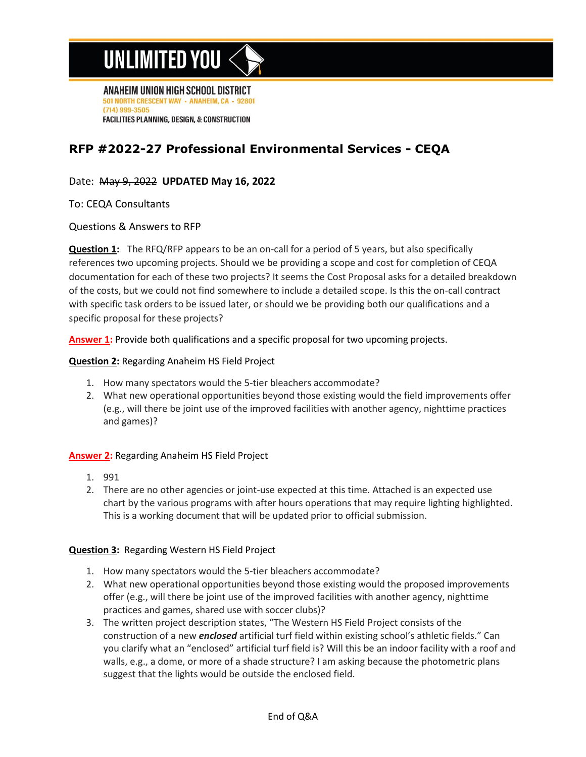# UNLIMITED YOU

ANAHEIM UNION HIGH SCHOOL DISTRICT 501 NORTH CRESCENT WAY - ANAHEIM, CA - 92801 (714) 999-3505 **FACILITIES PLANNING, DESIGN, & CONSTRUCTION** 

### **RFP #2022-27 Professional Environmental Services - CEQA**

### Date: May 9, 2022 **UPDATED May 16, 2022**

To: CEQA Consultants

#### Questions & Answers to RFP

**Question 1:** The RFQ/RFP appears to be an on-call for a period of 5 years, but also specifically references two upcoming projects. Should we be providing a scope and cost for completion of CEQA documentation for each of these two projects? It seems the Cost Proposal asks for a detailed breakdown of the costs, but we could not find somewhere to include a detailed scope. Is this the on-call contract with specific task orders to be issued later, or should we be providing both our qualifications and a specific proposal for these projects?

**Answer 1:** Provide both qualifications and a specific proposal for two upcoming projects.

#### **Question 2:** Regarding Anaheim HS Field Project

- 1. How many spectators would the 5-tier bleachers accommodate?
- 2. What new operational opportunities beyond those existing would the field improvements offer (e.g., will there be joint use of the improved facilities with another agency, nighttime practices and games)?

#### **Answer 2:** Regarding Anaheim HS Field Project

- 1. 991
- 2. There are no other agencies or joint-use expected at this time. Attached is an expected use chart by the various programs with after hours operations that may require lighting highlighted. This is a working document that will be updated prior to official submission.

#### **Question 3:** Regarding Western HS Field Project

- 1. How many spectators would the 5-tier bleachers accommodate?
- 2. What new operational opportunities beyond those existing would the proposed improvements offer (e.g., will there be joint use of the improved facilities with another agency, nighttime practices and games, shared use with soccer clubs)?
- 3. The written project description states, "The Western HS Field Project consists of the construction of a new *enclosed* artificial turf field within existing school's athletic fields." Can you clarify what an "enclosed" artificial turf field is? Will this be an indoor facility with a roof and walls, e.g., a dome, or more of a shade structure? I am asking because the photometric plans suggest that the lights would be outside the enclosed field.